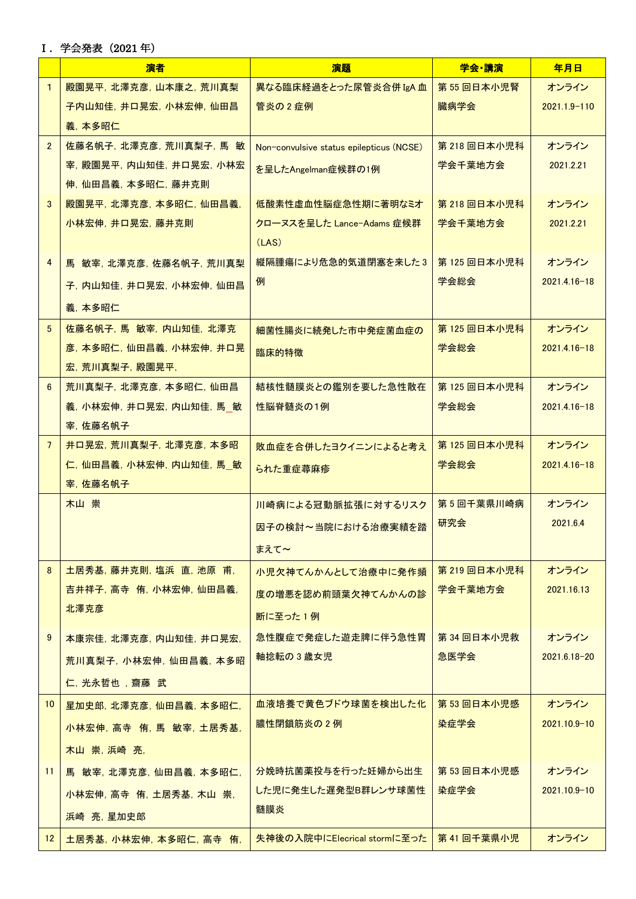Ⅰ.学会発表(2021 年)

|                 | 演者                       | 演題                                       | 学会 講演       | 年月日              |
|-----------------|--------------------------|------------------------------------------|-------------|------------------|
| $\mathbf{1}$    | 殿園晃平, 北澤克彦, 山本康之, 荒川真梨   | 異なる臨床経過をとった尿管炎合併 IgA 血                   | 第55回日本小児腎   | オンライン            |
|                 | 子内山知佳,井口晃宏,小林宏伸,仙田昌      | 管炎の2症例                                   | 臓病学会        | 2021.1.9-110     |
|                 | 義, 本多昭仁                  |                                          |             |                  |
| $\overline{2}$  | 佐藤名帆子, 北澤克彦, 荒川真梨子, 馬 敏  | Non-convulsive status epilepticus (NCSE) | 第218回日本小児科  | オンライン            |
|                 | 宰, 殿園晃平, 内山知佳, 井口晃宏, 小林宏 | を呈したAngelman症候群の1例                       | 学会千葉地方会     | 2021.2.21        |
|                 | 伸,仙田昌義,本多昭仁,藤井克則         |                                          |             |                  |
| 3               | 殿園晃平, 北澤克彦, 本多昭仁, 仙田昌義,  | 低酸素性虚血性脳症急性期に著明なミオ                       | 第218回日本小児科  | オンライン            |
|                 | 小林宏伸, 井口晃宏, 藤井克則         | クローヌスを呈した Lance-Adams 症候群                | 学会千葉地方会     | 2021.2.21        |
|                 |                          | (LAS)                                    |             |                  |
| $\overline{4}$  | 馬 敏宰, 北澤克彦, 佐藤名帆子, 荒川真梨  | 縦隔腫瘍により危急的気道閉塞を来した3                      | 第125回日本小児科  | オンライン            |
|                 | 子, 内山知佳, 井口晃宏, 小林宏伸, 仙田昌 | 例                                        | 学会総会        | $2021.4.16 - 18$ |
|                 | 義, 本多昭仁                  |                                          |             |                  |
| $5\overline{5}$ | 佐藤名帆子, 馬 敏宰, 内山知佳, 北澤克   | 細菌性腸炎に続発した市中発症菌血症の                       | 第125 回日本小児科 | オンライン            |
|                 | 彦, 本多昭仁, 仙田昌義, 小林宏伸, 井口晃 | 臨床的特徴                                    | 学会総会        | $2021.4.16 - 18$ |
|                 | 宏, 荒川真梨子, 殿園晃平,          |                                          |             |                  |
| 6               | 荒川真梨子, 北澤克彦, 本多昭仁, 仙田昌   | 結核性髄膜炎との鑑別を要した急性散在                       | 第125 回日本小児科 | オンライン            |
|                 | 義, 小林宏伸, 井口晃宏, 内山知佳, 馬 敏 | 性脳脊髄炎の1例                                 | 学会総会        | $2021.4.16 - 18$ |
|                 | 宰, 佐藤名帆子                 |                                          |             |                  |
| $\overline{7}$  | 井口晃宏,荒川真梨子,北澤克彦,本多昭      | 敗血症を合併したヨクイニンによると考え                      | 第125回日本小児科  | オンライン            |
|                 | 仁, 仙田昌義, 小林宏伸, 内山知佳, 馬 敏 | られた重症蕁麻疹                                 | 学会総会        | $2021.4.16 - 18$ |
|                 | 宰, 佐藤名帆子                 |                                          |             |                  |
|                 | 木山 崇                     | 川崎病による冠動脈拡張に対するリスク                       | 第5回千葉県川崎病   | オンライン            |
|                 |                          | 因子の検討~当院における治療実績を踏                       | 研究会         | 2021.6.4         |
|                 |                          | まえて~                                     |             |                  |
| 8               | 土居秀基,藤井克則,塩浜 直,池原 甫,     | 小児欠神てんかんとして治療中に発作頻                       | 第219回日本小児科  | オンライン            |
|                 | 吉井祥子, 高寺 侑, 小林宏伸, 仙田昌義,  | 度の増悪を認め前頭葉欠神てんかんの診                       | 学会千葉地方会     | 2021.16.13       |
|                 | 北澤克彦                     | 断に至った1例                                  |             |                  |
| 9               | 本康宗佳, 北澤克彦, 内山知佳, 井口晃宏,  | 急性腹症で発症した遊走脾に伴う急性胃                       | 第34回日本小児救   | オンライン            |
|                 | 荒川真梨子, 小林宏伸, 仙田昌義, 本多昭   | 軸捻転の3歳女児                                 | 急医学会        | 2021.6.18-20     |
|                 |                          |                                          |             |                  |
|                 | 仁, 光永哲也, 齋藤 武            |                                          |             |                  |
| 10 <sup>1</sup> | 星加史郎,北澤克彦,仙田昌義,本多昭仁,     | 血液培養で黄色ブドウ球菌を検出した化                       | 第 53 回日本小児感 | オンライン            |
|                 | 小林宏伸, 高寺 侑, 馬 敏宰, 土居秀基,  | 膿性閉鎖筋炎の2例                                | 染症学会        | $2021.10.9 - 10$ |
|                 | 木山 崇, 浜崎 亮,              |                                          |             |                  |
| 11              | 馬 敏宰, 北澤克彦, 仙田昌義, 本多昭仁,  | 分娩時抗菌薬投与を行った妊婦から出生                       | 第53回日本小児感   | オンライン            |
|                 | 小林宏伸,高寺 侑,土居秀基,木山 崇,     | した児に発生した遅発型B群レンサ球菌性                      | 染症学会        | $2021.10.9 - 10$ |
|                 | 浜崎 亮,星加史郎                | 髄膜炎                                      |             |                  |
| 12 <sup>2</sup> | 土居秀基, 小林宏伸, 本多昭仁, 高寺 侑,  | 失神後の入院中にElecrical stormに至った              | 第41回千葉県小児   | オンライン            |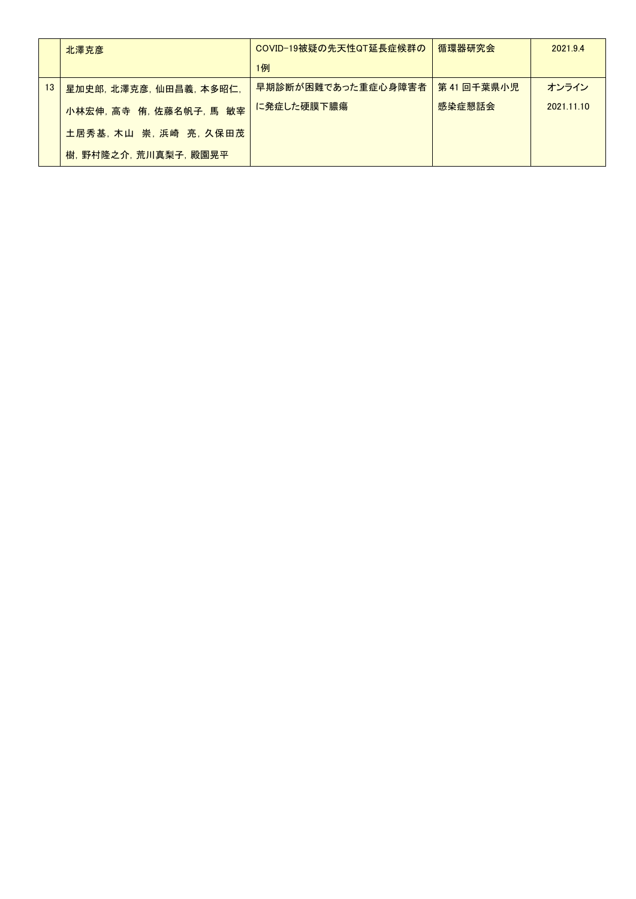|                 | 北澤克彦                    | COVID-19被疑の先天性QT延長症候群の | 循環器研究会    | 2021.94    |
|-----------------|-------------------------|------------------------|-----------|------------|
|                 |                         | 1例                     |           |            |
| 13 <sup>1</sup> | 星加史郎,北澤克彦,仙田昌義,本多昭仁,    | 早期診断が困難であった重症心身障害者     | 第41回千葉県小児 | オンライン      |
|                 | 小林宏伸, 高寺 侑, 佐藤名帆子, 馬 敏宰 | に発症した硬膜下膿瘍             | 感染症懇話会    | 2021.11.10 |
|                 | 土居秀基,木山 崇,浜崎 亮,久保田茂     |                        |           |            |
|                 | 樹,野村隆之介,荒川真梨子,殿園晃平      |                        |           |            |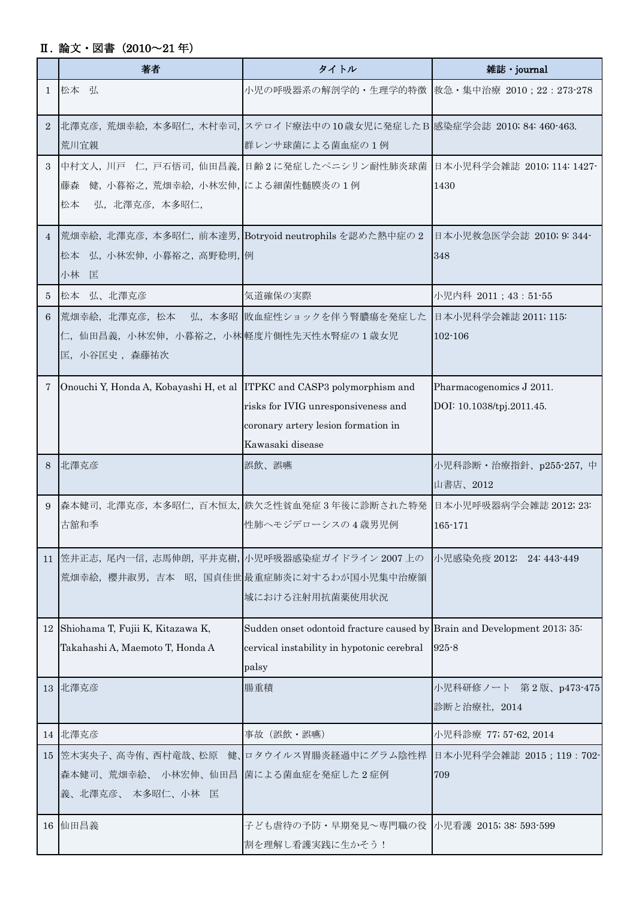## Ⅱ. 論文・図書(2010~21 年)

|                | 著者                                                                         | タイトル                                                                                                                            | 雑誌・journal                                            |
|----------------|----------------------------------------------------------------------------|---------------------------------------------------------------------------------------------------------------------------------|-------------------------------------------------------|
|                | 1 松本 弘                                                                     | 小児の呼吸器系の解剖学的・生理学的特徴  救急・集中治療 2010; 22: 273-278                                                                                  |                                                       |
| $\overline{2}$ | 荒川宜親                                                                       | 北澤克彦, 荒畑幸絵, 本多昭仁, 木村幸司, ステロイド療法中の10歳女児に発症したB 感染症学会誌 2010; 84: 460-463.<br>群レンサ球菌による菌血症の1例                                       |                                                       |
| 3              | 健, 小暮裕之, 荒畑幸絵, 小林宏伸, による細菌性髄膜炎の1例<br>藤森<br>松本<br>弘, 北澤克彦, 本多昭仁,            | 中村文人, 川戸 仁, 戸石悟司, 仙田昌義, 日齢2に発症したペニシリン耐性肺炎球菌 日本小児科学会雑誌 2010; 114: 1427-                                                          | 1430                                                  |
|                | 松本 弘, 小林宏伸, 小暮裕之, 高野稔明, 例<br>小林 匡                                          | 4  荒畑幸絵, 北澤克彦, 本多昭仁, 前本達男, Botryoid neutrophils を認めた熱中症の2                                                                       | 日本小児救急医学会誌 2010; 9: 344–<br>348                       |
| 5              | 松本 弘、北澤克彦                                                                  | 気道確保の実際                                                                                                                         | 小児内科 2011; 43: 51-55                                  |
| 6              | 荒畑幸絵,北澤克彦,松本 <br>仁, 仙田昌義, 小林宏伸, 小暮裕之, 小林 軽度片側性先天性水腎症の1歳女児<br>匡, 小谷匡史, 森藤祐次 | 弘、本多昭 敗血症性ショックを伴う腎膿瘍を発症した                                                                                                       | 日本小児科学会雑誌 2011; 115:<br>102-106                       |
| 7              | Onouchi Y, Honda A, Kobayashi H, et al ITPKC and CASP3 polymorphism and    | risks for IVIG unresponsiveness and<br>coronary artery lesion formation in<br>Kawasaki disease                                  | Pharmacogenomics J 2011.<br>DOI: 10.1038/tpj.2011.45. |
| 8              | 北澤克彦                                                                       | 誤飲、誤嚥                                                                                                                           | 小児科診断・治療指針、p255-257, 中<br>山書店、2012                    |
| 9              | 古舘和季                                                                       | 森本健司,北澤克彦,本多昭仁,百木恒太,鉄欠乏性貧血発症3年後に診断された特発<br>性肺へモジデローシスの4歳男児例                                                                     | 日本小児呼吸器病学会雑誌 2012; 23:<br>165-171                     |
|                |                                                                            | 11 笠井正志, 尾内一信, 志馬伸朗, 平井克樹, 小児呼吸器感染症ガイドライン 2007 上の<br>荒畑幸絵, 櫻井淑男, 吉本 昭, 国貞佳世 最重症肺炎に対するわが国小児集中治療領<br>域における注射用抗菌薬使用状況              | 小児感染免疫 2012; 24: 443-449                              |
|                | 12 Shiohama T, Fujii K, Kitazawa K,<br>Takahashi A, Maemoto T, Honda A     | Sudden onset odontoid fracture caused by Brain and Development 2013; 35:<br>cervical instability in hypotonic cerebral<br>palsy | $925 - 8$                                             |
|                | 13 北澤克彦                                                                    | 腸重積                                                                                                                             | 小児科研修ノート 第2版、p473-475 <br>診断と治療社, 2014                |
|                | 14 北澤克彦                                                                    | 事故 (誤飲·誤嚥)                                                                                                                      | 小児科診療 77; 57-62, 2014                                 |
|                | 森本健司、荒畑幸絵、 小林宏伸、仙田昌  菌による菌血症を発症した2症例<br>義、北澤克彦、本多昭仁、小林 匡                   | 15 笠木実央子、高寺侑、西村竜哉、松原 健、ロタウイルス胃腸炎経過中にグラム陰性桿                                                                                      | 日本小児科学会雑誌 2015; 119: 702-<br>709                      |
|                | 16 仙田昌義                                                                    | 子ども虐待の予防・早期発見~専門職の役  小児看護 2015;38:593-599<br>割を理解し看護実践に生かそう!                                                                    |                                                       |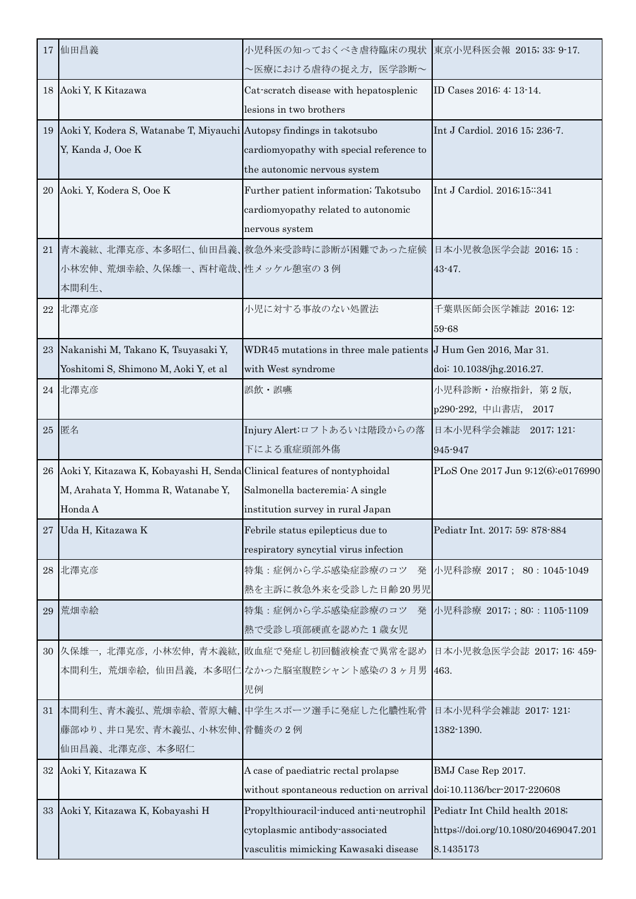|    | 17 仙田昌義                                                                     | 小児科医の知っておくべき虐待臨床の現状<br>~医療における虐待の捉え方、医学診断~                               | 東京小児科医会報 2015; 33: 9-17.                          |
|----|-----------------------------------------------------------------------------|--------------------------------------------------------------------------|---------------------------------------------------|
| 18 | Aoki Y, K Kitazawa                                                          | Cat-scratch disease with hepatosplenic<br>lesions in two brothers        | ID Cases 2016: 4: 13-14.                          |
| 19 | Aoki Y, Kodera S, Watanabe T, Miyauchi Autopsy findings in takotsubo        |                                                                          | Int J Cardiol. 2016 15; 236-7.                    |
|    | Y, Kanda J, Ooe K                                                           | cardiomyopathy with special reference to                                 |                                                   |
|    |                                                                             | the autonomic nervous system                                             |                                                   |
|    | 20 Aoki. Y, Kodera S, Ooe K                                                 | Further patient information; Takotsubo                                   | Int J Cardiol. 2016;15:341                        |
|    |                                                                             | cardiomyopathy related to autonomic                                      |                                                   |
|    |                                                                             | nervous system                                                           |                                                   |
| 21 |                                                                             | 青木義紘、北澤克彦、本多昭仁、仙田昌義、救急外来受診時に診断が困難であった症候                                  | 日本小児救急医学会誌 2016; 15:                              |
|    | 小林宏伸、荒畑幸絵、久保雄一、西村竜哉、性メッケル憩室の3例                                              |                                                                          | $43 - 47$ .                                       |
|    | 本間利生、                                                                       |                                                                          |                                                   |
| 22 | 北澤克彦                                                                        | 小児に対する事故のない処置法                                                           | 千葉県医師会医学雑誌 2016; 12:                              |
|    | 23 Nakanishi M, Takano K, Tsuyasaki Y,                                      | WDR45 mutations in three male patients J Hum Gen 2016, Mar 31.           | 59-68                                             |
|    | Yoshitomi S, Shimono M, Aoki Y, et al                                       | with West syndrome                                                       | doi: 10.1038/jhg.2016.27.                         |
| 24 | 北澤克彦                                                                        | 誤飲・誤嚥                                                                    | 小児科診断·治療指針, 第2版,                                  |
|    |                                                                             |                                                                          | p290-292, 中山書店, 2017                              |
| 25 | 匿名                                                                          | Injury Alert:ロフトあるいは階段からの落                                               | 日本小児科学会雑誌 2017; 121:                              |
|    |                                                                             | 下による重症頭部外傷                                                               | 945-947                                           |
|    | 26 Aoki Y, Kitazawa K, Kobayashi H, Senda Clinical features of nontyphoidal |                                                                          | PLoS One 2017 Jun 9;12(6):e0176990                |
|    | M, Arahata Y, Homma R, Watanabe Y,                                          | Salmonella bacteremia: A single                                          |                                                   |
|    | Honda A                                                                     | institution survey in rural Japan                                        |                                                   |
|    |                                                                             |                                                                          |                                                   |
| 27 | Uda H, Kitazawa K                                                           | Febrile status epilepticus due to                                        | Pediatr Int. 2017; 59: 878-884                    |
|    |                                                                             | respiratory syncytial virus infection                                    |                                                   |
| 28 | 北澤克彦                                                                        | 特集:症例から学ぶ感染症診療のコツ                                                        | 発 小児科診療 2017; 80:1045-1049                        |
|    |                                                                             | 熱を主訴に救急外来を受診した日齢20男児                                                     |                                                   |
| 29 | 荒畑幸絵                                                                        | 特集:症例から学ぶ感染症診療のコツ                                                        | 発 小児科診療 2017; ; 80: : 1105-1109                   |
|    |                                                                             | 熱で受診し項部硬直を認めた1歳女児                                                        |                                                   |
| 30 |                                                                             | 久保雄一,北澤克彦,小林宏伸,青木義紘,敗血症で発症し初回髄液検査で異常を認め                                  | 日本小児救急医学会誌 2017; 16: 459-                         |
|    |                                                                             | 本間利生,荒畑幸絵,仙田昌義,本多昭仁 なかった脳室腹腔シャント感染の3ヶ月男<br>児例                            | 463.                                              |
|    |                                                                             | 31 本間利生、青木義弘、荒畑幸絵、菅原大輔、中学生スポーツ選手に発症した化膿性恥骨                               | 日本小児科学会雑誌 2017: 121:                              |
|    | 藤部ゆり、井口晃宏、青木義弘、小林宏伸、骨髄炎の2例                                                  |                                                                          | 1382-1390.                                        |
|    | 仙田昌義、北澤克彦、本多昭仁                                                              |                                                                          |                                                   |
| 32 | Aoki Y, Kitazawa K                                                          | A case of paediatric rectal prolapse                                     | BMJ Case Rep 2017.                                |
|    |                                                                             | without spontaneous reduction on arrival doi:10.1136/bcr-2017-220608     |                                                   |
|    | 33 Aoki Y, Kitazawa K, Kobayashi H                                          | Propylthiouracil-induced anti-neutrophil                                 | Pediatr Int Child health 2018;                    |
|    |                                                                             | cytoplasmic antibody-associated<br>vasculitis mimicking Kawasaki disease | https://doi.org/10.1080/20469047.201<br>8.1435173 |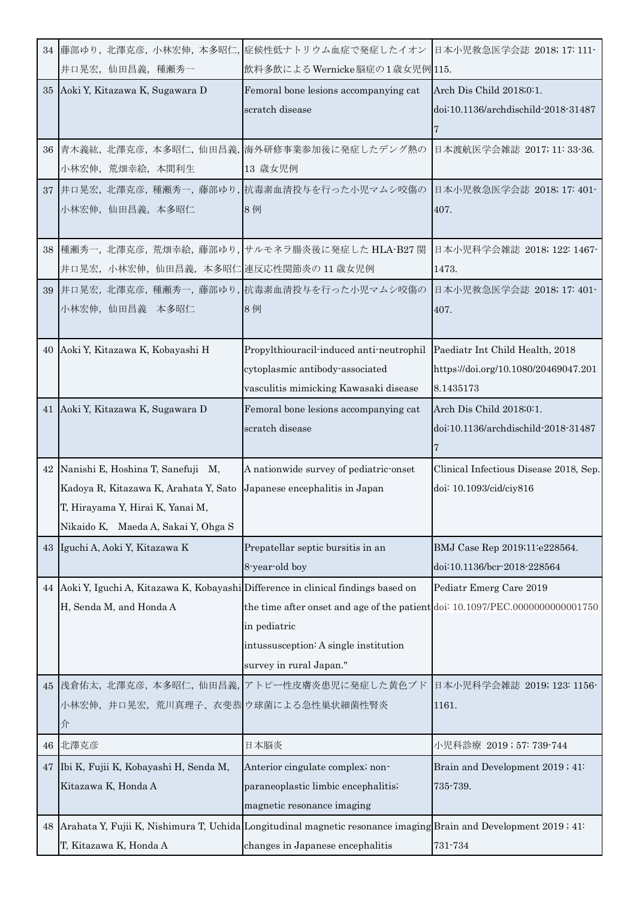|    |                                                                                     | 34  藤部ゆり, 北澤克彦, 小林宏伸, 本多昭仁, 症候性低ナトリウム血症で発症したイオン  日本小児救急医学会誌 2018; 17: 111-                                         |                                        |
|----|-------------------------------------------------------------------------------------|--------------------------------------------------------------------------------------------------------------------|----------------------------------------|
|    | 井口晃宏, 仙田昌義, 種瀬秀一                                                                    | 飲料多飲によるWernicke脳症の1歳女児例 115.                                                                                       |                                        |
|    | 35 Aoki Y, Kitazawa K, Sugawara D                                                   | Femoral bone lesions accompanying cat                                                                              | Arch Dis Child 2018;0:1.               |
|    |                                                                                     | scratch disease                                                                                                    | doi:10.1136/archdischild-2018-31487    |
|    |                                                                                     |                                                                                                                    |                                        |
|    |                                                                                     | 36 青木義紘, 北澤克彦, 本多昭仁, 仙田昌義, 海外研修事業参加後に発症したデング熱の                                                                     | 日本渡航医学会雑誌 2017; 11: 33-36.             |
|    | 小林宏伸, 荒畑幸絵, 本間利生                                                                    | 13 歳女児例                                                                                                            |                                        |
|    |                                                                                     | 37 井口晃宏, 北澤克彦, 種瀬秀一, 藤部ゆり, 抗毒素血清投与を行った小児マムシ咬傷の                                                                     | 日本小児救急医学会誌 2018; 17: 401-              |
|    | 小林宏伸, 仙田昌義, 本多昭仁                                                                    | 8例                                                                                                                 | 407.                                   |
|    |                                                                                     |                                                                                                                    |                                        |
| 38 |                                                                                     | 種瀬秀一, 北澤克彦, 荒畑幸絵, 藤部ゆり, サルモネラ腸炎後に発症した HLA-B27 関                                                                    | 日本小児科学会雑誌 2018; 122: 1467-             |
|    | 井口晃宏,小林宏伸,仙田昌義,本多昭仁 連反応性関節炎の 11 歳女児例                                                |                                                                                                                    | 1473.                                  |
|    |                                                                                     | 39 井口晃宏, 北澤克彦, 種瀬秀一, 藤部ゆり, 抗毒素血清投与を行った小児マムシ咬傷の                                                                     | 日本小児救急医学会誌 2018; 17: 401-              |
|    | 小林宏伸, 仙田昌義 本多昭仁                                                                     | 8例                                                                                                                 | 407.                                   |
|    |                                                                                     |                                                                                                                    |                                        |
| 40 | Aoki Y, Kitazawa K, Kobayashi H                                                     | Propylthiouracil-induced anti-neutrophil                                                                           | Paediatr Int Child Health, 2018        |
|    |                                                                                     | cytoplasmic antibody-associated                                                                                    | https://doi.org/10.1080/20469047.201   |
|    |                                                                                     | vasculitis mimicking Kawasaki disease                                                                              | 8.1435173                              |
|    | 41 Aoki Y, Kitazawa K, Sugawara D                                                   | Femoral bone lesions accompanying cat                                                                              | Arch Dis Child 2018;0:1.               |
|    |                                                                                     | scratch disease                                                                                                    | doi:10.1136/archdischild-2018-31487    |
|    |                                                                                     |                                                                                                                    |                                        |
|    | 42 Nanishi E, Hoshina T, Sanefuji M,                                                | A nationwide survey of pediatric-onset                                                                             | Clinical Infectious Disease 2018, Sep. |
|    | Kadoya R, Kitazawa K, Arahata Y, Sato                                               | Japanese encephalitis in Japan                                                                                     | doi: 10.1093/cid/ciy816                |
|    | T, Hirayama Y, Hirai K, Yanai M,                                                    |                                                                                                                    |                                        |
|    | Nikaido K, Maeda A, Sakai Y, Ohga S                                                 |                                                                                                                    |                                        |
|    | 43 Iguchi A, Aoki Y, Kitazawa K                                                     | Prepatellar septic bursitis in an                                                                                  | BMJ Case Rep 2019;11:e228564.          |
|    |                                                                                     | 8-year-old boy                                                                                                     | doi:10.1136/bcr-2018-228564            |
|    | 44 Aoki Y, Iguchi A, Kitazawa K, Kobayashi Difference in clinical findings based on |                                                                                                                    | Pediatr Emerg Care 2019                |
|    | H, Senda M, and Honda A                                                             | the time after onset and age of the patient doi: 10.1097/PEC.0000000000001750                                      |                                        |
|    |                                                                                     | in pediatric                                                                                                       |                                        |
|    |                                                                                     | intussusception: A single institution                                                                              |                                        |
|    |                                                                                     | survey in rural Japan."                                                                                            |                                        |
|    | 45 浅倉佑太, 北澤克彦, 本多昭仁, 仙田昌義,                                                          | アトピー性皮膚炎患児に発症した黄色ブド                                                                                                | 日本小児科学会雑誌 2019; 123: 1156-             |
|    | 小林宏伸,井口晃宏,荒川真理子、衣斐恭 ウ球菌による急性巣状細菌性腎炎                                                 |                                                                                                                    | 1161.                                  |
|    | 介                                                                                   |                                                                                                                    |                                        |
| 46 | 北澤克彦                                                                                | 日本脳炎                                                                                                               | 小児科診療 2019;57:739-744                  |
| 47 | Ibi K, Fujii K, Kobayashi H, Senda M,                                               | Anterior cingulate complex; non-                                                                                   | Brain and Development 2019; 41:        |
|    | Kitazawa K, Honda A                                                                 | paraneoplastic limbic encephalitis;                                                                                | 735-739.                               |
|    |                                                                                     | magnetic resonance imaging                                                                                         |                                        |
|    |                                                                                     | 48 Arahata Y, Fujii K, Nishimura T, Uchida Longitudinal magnetic resonance imaging Brain and Development 2019; 41: |                                        |
|    | T, Kitazawa K, Honda A                                                              | changes in Japanese encephalitis                                                                                   | 731-734                                |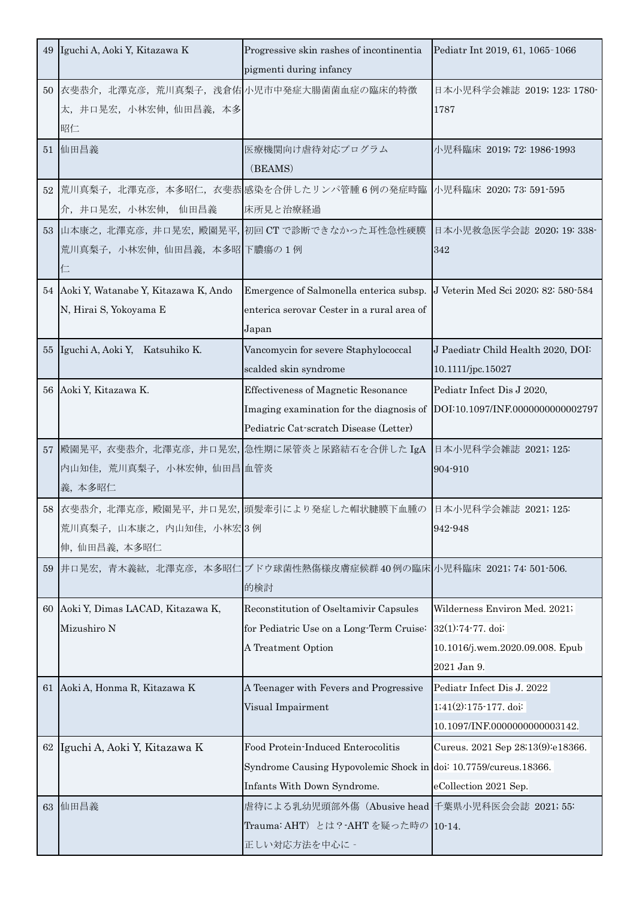|    | 49 Iguchi A, Aoki Y, Kitazawa K                                           | Progressive skin rashes of incontinentia<br>pigmenti during infancy                                                                   | Pediatr Int 2019, 61, 1065-1066                                                                      |  |
|----|---------------------------------------------------------------------------|---------------------------------------------------------------------------------------------------------------------------------------|------------------------------------------------------------------------------------------------------|--|
|    | 50 衣斐恭介, 北澤克彦, 荒川真梨子, 浅倉佑 小児市中発症大腸菌菌血症の臨床的特徴<br>太,井口晃宏,小林宏伸,仙田昌義,本多<br>昭仁 |                                                                                                                                       | 日本小児科学会雑誌 2019; 123: 1780-<br>1787                                                                   |  |
| 51 | 仙田昌義                                                                      | 医療機関向け虐待対応プログラム<br>(BEAMS)                                                                                                            | 小児科臨床 2019; 72: 1986-1993                                                                            |  |
|    | 介, 井口晃宏, 小林宏伸, 仙田昌義                                                       | 52 荒川真梨子, 北澤克彦, 本多昭仁, 衣斐恭 感染を合併したリンパ管腫6例の発症時臨 小児科臨床 2020; 73: 591-595<br>床所見と治療経過                                                     |                                                                                                      |  |
|    | 荒川真梨子, 小林宏伸, 仙田昌義, 本多昭 下膿瘍の1例<br>仁                                        | 53 山本康之, 北澤克彦, 井口晃宏, 殿園晃平, 初回 CT で診断できなかった耳性急性硬膜                                                                                      | 日本小児救急医学会誌 2020; 19: 338-<br>342                                                                     |  |
|    | 54 Aoki Y, Watanabe Y, Kitazawa K, Ando<br>N, Hirai S, Yokoyama E         | Emergence of Salmonella enterica subsp. J Veterin Med Sci 2020; 82: 580-584<br>enterica serovar Cester in a rural area of<br>Japan    |                                                                                                      |  |
|    | 55 Iguchi A, Aoki Y, Katsuhiko K.                                         | Vancomycin for severe Staphylococcal<br>scalded skin syndrome                                                                         | J Paediatr Child Health 2020, DOI:<br>10.1111/jpc.15027                                              |  |
| 56 | Aoki Y, Kitazawa K.                                                       | <b>Effectiveness of Magnetic Resonance</b><br>Imaging examination for the diagnosis of<br>Pediatric Cat-scratch Disease (Letter)      | Pediatr Infect Dis J 2020,<br>DOI:10.1097/INF.0000000000002797                                       |  |
|    | 内山知佳, 荒川真梨子, 小林宏伸, 仙田昌 血管炎<br>義,本多昭仁                                      | 57 殿園晃平, 衣斐恭介, 北澤克彦, 井口晃宏, 急性期に尿管炎と尿路結石を合併した IgA 日本小児科学会雑誌 2021; 125:                                                                 | 904-910                                                                                              |  |
|    | 荒川真梨子,山本康之,内山知佳,小林宏3例<br>伸, 仙田昌義, 本多昭仁                                    | 58 衣斐恭介, 北澤克彦, 殿園晃平, 井口晃宏, 頭髪牽引により発症した帽状腱膜下血腫の 日本小児科学会雑誌 2021; 125:                                                                   | 942-948                                                                                              |  |
| 59 |                                                                           | 井口晃宏,青木義紘,北澤克彦,本多昭仁 ブドウ球菌性熱傷様皮膚症候群40例の臨床小児科臨床 2021;74:501-506.<br>的検討                                                                 |                                                                                                      |  |
| 60 | Aoki Y, Dimas LACAD, Kitazawa K,<br>Mizushiro N                           | Reconstitution of Oseltamivir Capsules<br>for Pediatric Use on a Long-Term Cruise:<br>A Treatment Option                              | Wilderness Environ Med. 2021;<br>32(1):74-77. doi:<br>10.1016/j.wem.2020.09.008. Epub<br>2021 Jan 9. |  |
| 61 | Aoki A, Honma R, Kitazawa K                                               | A Teenager with Fevers and Progressive<br>Visual Impairment                                                                           | Pediatr Infect Dis J. 2022<br>1;41(2):175-177. doi:<br>10.1097/INF.0000000000003142.                 |  |
| 62 | Iguchi A, Aoki Y, Kitazawa K                                              | Food Protein-Induced Enterocolitis<br>Syndrome Causing Hypovolemic Shock in doi: 10.7759/cureus.18366.<br>Infants With Down Syndrome. | Cureus. 2021 Sep 28;13(9):e18366.<br>eCollection 2021 Sep.                                           |  |
| 63 | 仙田昌義                                                                      | 虐待による乳幼児頭部外傷 (Abusive head 千葉県小児科医会会誌 2021; 55:<br>Trauma: AHT) とは? - AHT を疑った時の 10-14.<br>正しい対応方法を中心に -                              |                                                                                                      |  |